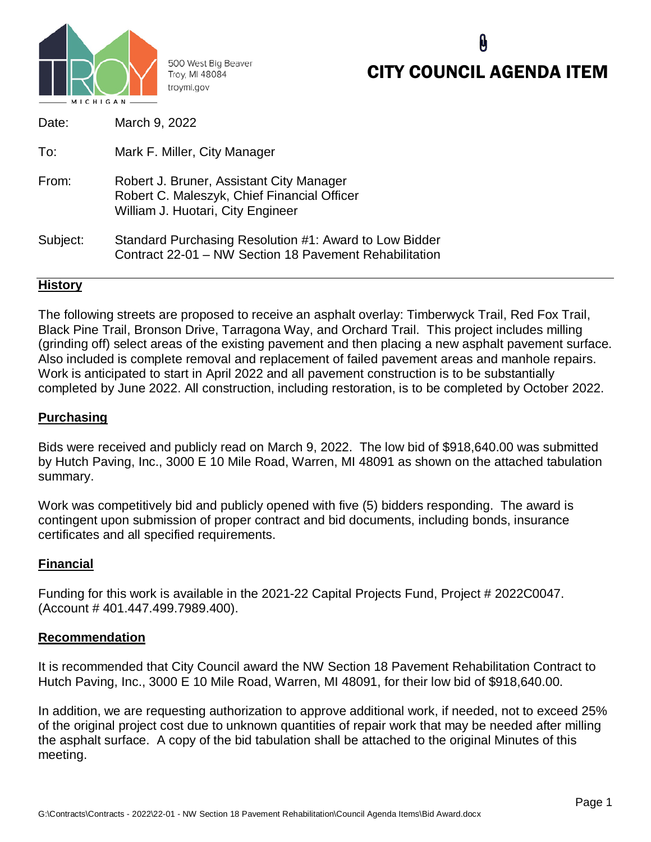

500 West Big Beaver Troy, MI 48084 troymi.gov

# CITY COUNCIL AGENDA ITEM

| Date:    | March 9, 2022                                                                                                                |
|----------|------------------------------------------------------------------------------------------------------------------------------|
| To:      | Mark F. Miller, City Manager                                                                                                 |
| From:    | Robert J. Bruner, Assistant City Manager<br>Robert C. Maleszyk, Chief Financial Officer<br>William J. Huotari, City Engineer |
| Subject: | Standard Purchasing Resolution #1: Award to Low Bidder<br>Contract 22-01 - NW Section 18 Pavement Rehabilitation             |

# **History**

The following streets are proposed to receive an asphalt overlay: Timberwyck Trail, Red Fox Trail, Black Pine Trail, Bronson Drive, Tarragona Way, and Orchard Trail. This project includes milling (grinding off) select areas of the existing pavement and then placing a new asphalt pavement surface. Also included is complete removal and replacement of failed pavement areas and manhole repairs. Work is anticipated to start in April 2022 and all pavement construction is to be substantially completed by June 2022. All construction, including restoration, is to be completed by October 2022.

# **Purchasing**

Bids were received and publicly read on March 9, 2022. The low bid of \$918,640.00 was submitted by Hutch Paving, Inc., 3000 E 10 Mile Road, Warren, MI 48091 as shown on the attached tabulation summary.

Work was competitively bid and publicly opened with five (5) bidders responding. The award is contingent upon submission of proper contract and bid documents, including bonds, insurance certificates and all specified requirements.

### **Financial**

Funding for this work is available in the 2021-22 Capital Projects Fund, Project # 2022C0047. (Account # 401.447.499.7989.400).

#### **Recommendation**

It is recommended that City Council award the NW Section 18 Pavement Rehabilitation Contract to Hutch Paving, Inc., 3000 E 10 Mile Road, Warren, MI 48091, for their low bid of \$918,640.00.

In addition, we are requesting authorization to approve additional work, if needed, not to exceed 25% of the original project cost due to unknown quantities of repair work that may be needed after milling the asphalt surface. A copy of the bid tabulation shall be attached to the original Minutes of this meeting.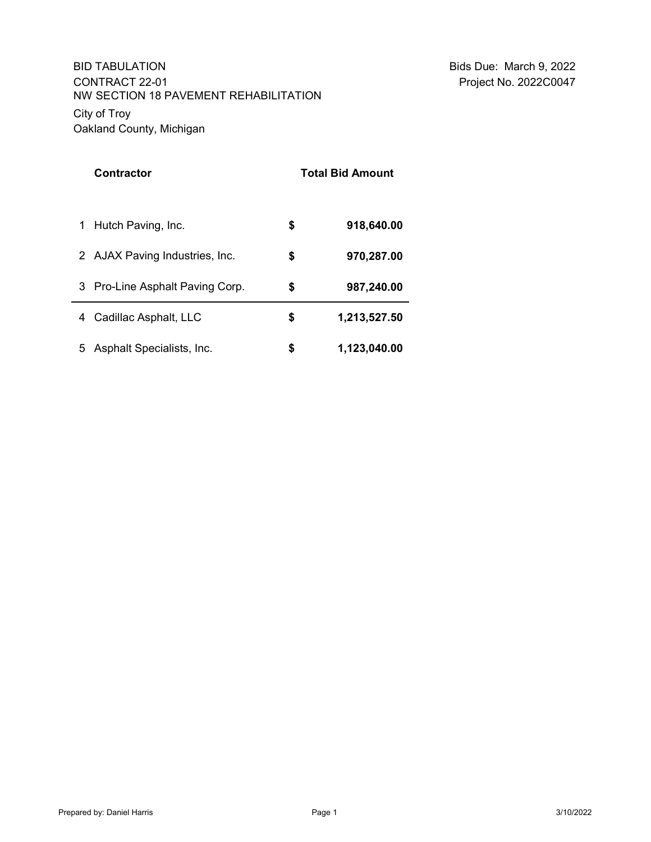# City of Troy Oakland County, Michigan NW SECTION 18 PAVEMENT REHABILITATION BID TABULATION CONTRACT 22-01

| <b>Contractor</b>                  | <b>Total Bid Amount</b> |              |
|------------------------------------|-------------------------|--------------|
| Hutch Paving, Inc.<br>1            | \$                      | 918,640.00   |
| 2 AJAX Paving Industries, Inc.     | \$                      | 970,287.00   |
| Pro-Line Asphalt Paving Corp.<br>3 | \$                      | 987,240.00   |
| Cadillac Asphalt, LLC<br>4         | \$                      | 1,213,527.50 |
| Asphalt Specialists, Inc.<br>5     | \$                      | 1,123,040.00 |